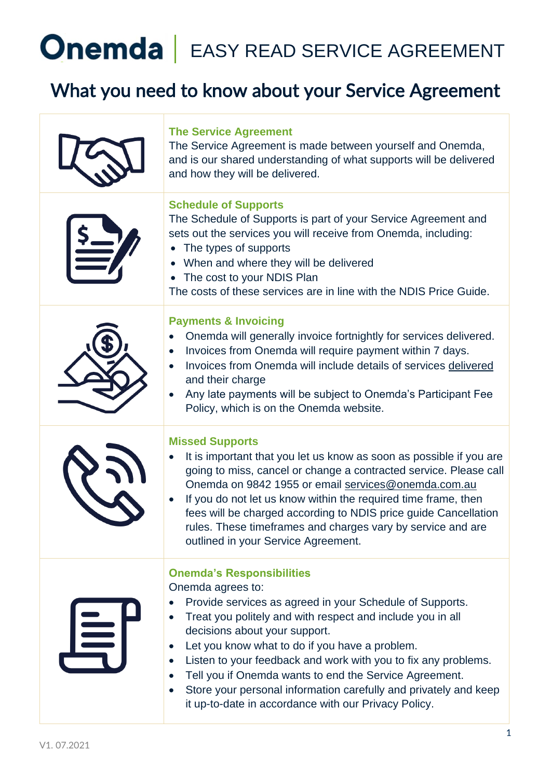### What you need to know about your Service Agreement

|   | <b>The Service Agreement</b><br>The Service Agreement is made between yourself and Onemda,<br>and is our shared understanding of what supports will be delivered<br>and how they will be delivered.                                                                                                                                                                                                                                                                                                                                     |
|---|-----------------------------------------------------------------------------------------------------------------------------------------------------------------------------------------------------------------------------------------------------------------------------------------------------------------------------------------------------------------------------------------------------------------------------------------------------------------------------------------------------------------------------------------|
|   | <b>Schedule of Supports</b><br>The Schedule of Supports is part of your Service Agreement and<br>sets out the services you will receive from Onemda, including:<br>The types of supports<br>When and where they will be delivered<br>The cost to your NDIS Plan<br>$\bullet$<br>The costs of these services are in line with the NDIS Price Guide.                                                                                                                                                                                      |
|   | <b>Payments &amp; Invoicing</b><br>Onemda will generally invoice fortnightly for services delivered.<br>Invoices from Onemda will require payment within 7 days.<br>Invoices from Onemda will include details of services delivered<br>and their charge<br>Any late payments will be subject to Onemda's Participant Fee<br>Policy, which is on the Onemda website.                                                                                                                                                                     |
|   | <b>Missed Supports</b><br>It is important that you let us know as soon as possible if you are<br>going to miss, cancel or change a contracted service. Please call<br>Onemda on 9842 1955 or email services@onemda.com.au<br>If you do not let us know within the required time frame, then<br>fees will be charged according to NDIS price guide Cancellation<br>rules. These timeframes and charges vary by service and are<br>outlined in your Service Agreement.                                                                    |
| 阜 | <b>Onemda's Responsibilities</b><br>Onemda agrees to:<br>Provide services as agreed in your Schedule of Supports.<br>Treat you politely and with respect and include you in all<br>decisions about your support.<br>Let you know what to do if you have a problem.<br>Listen to your feedback and work with you to fix any problems.<br>$\bullet$<br>Tell you if Onemda wants to end the Service Agreement.<br>Store your personal information carefully and privately and keep<br>it up-to-date in accordance with our Privacy Policy. |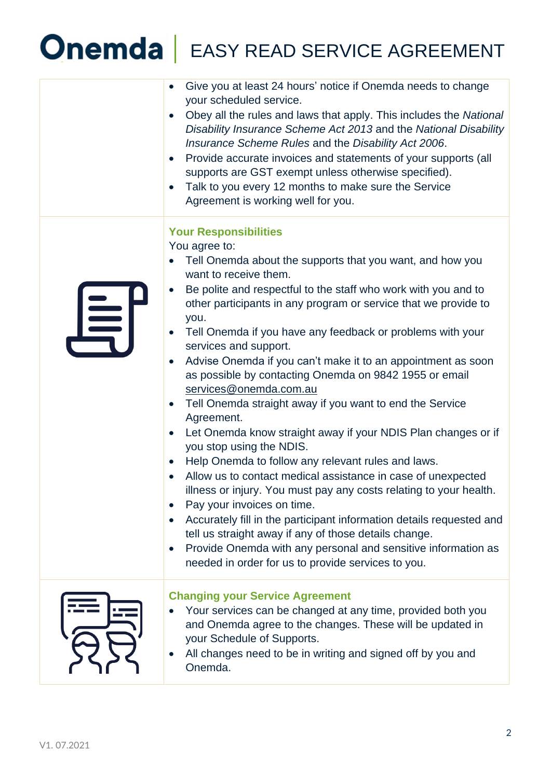|   | Give you at least 24 hours' notice if Onemda needs to change<br>your scheduled service.<br>Obey all the rules and laws that apply. This includes the National<br>Disability Insurance Scheme Act 2013 and the National Disability<br>Insurance Scheme Rules and the Disability Act 2006.<br>Provide accurate invoices and statements of your supports (all<br>supports are GST exempt unless otherwise specified).                                                                                                                                                                                                                                                                                                                                                                                                                                                                                                                                                                                                                                                                                                                                                                   |
|---|--------------------------------------------------------------------------------------------------------------------------------------------------------------------------------------------------------------------------------------------------------------------------------------------------------------------------------------------------------------------------------------------------------------------------------------------------------------------------------------------------------------------------------------------------------------------------------------------------------------------------------------------------------------------------------------------------------------------------------------------------------------------------------------------------------------------------------------------------------------------------------------------------------------------------------------------------------------------------------------------------------------------------------------------------------------------------------------------------------------------------------------------------------------------------------------|
|   | Talk to you every 12 months to make sure the Service<br>Agreement is working well for you.                                                                                                                                                                                                                                                                                                                                                                                                                                                                                                                                                                                                                                                                                                                                                                                                                                                                                                                                                                                                                                                                                           |
| 与 | <b>Your Responsibilities</b><br>You agree to:<br>Tell Onemda about the supports that you want, and how you<br>want to receive them.<br>Be polite and respectful to the staff who work with you and to<br>other participants in any program or service that we provide to<br>you.<br>Tell Onemda if you have any feedback or problems with your<br>services and support.<br>Advise Onemda if you can't make it to an appointment as soon<br>as possible by contacting Onemda on 9842 1955 or email<br>services@onemda.com.au<br>Tell Onemda straight away if you want to end the Service<br>Agreement.<br>Let Onemda know straight away if your NDIS Plan changes or if<br>you stop using the NDIS.<br>Help Onemda to follow any relevant rules and laws.<br>Allow us to contact medical assistance in case of unexpected<br>illness or injury. You must pay any costs relating to your health.<br>Pay your invoices on time.<br>Accurately fill in the participant information details requested and<br>tell us straight away if any of those details change.<br>Provide Onemda with any personal and sensitive information as<br>needed in order for us to provide services to you. |
|   | <b>Changing your Service Agreement</b><br>Your services can be changed at any time, provided both you<br>and Onemda agree to the changes. These will be updated in<br>your Schedule of Supports.<br>All changes need to be in writing and signed off by you and<br>Onemda.                                                                                                                                                                                                                                                                                                                                                                                                                                                                                                                                                                                                                                                                                                                                                                                                                                                                                                           |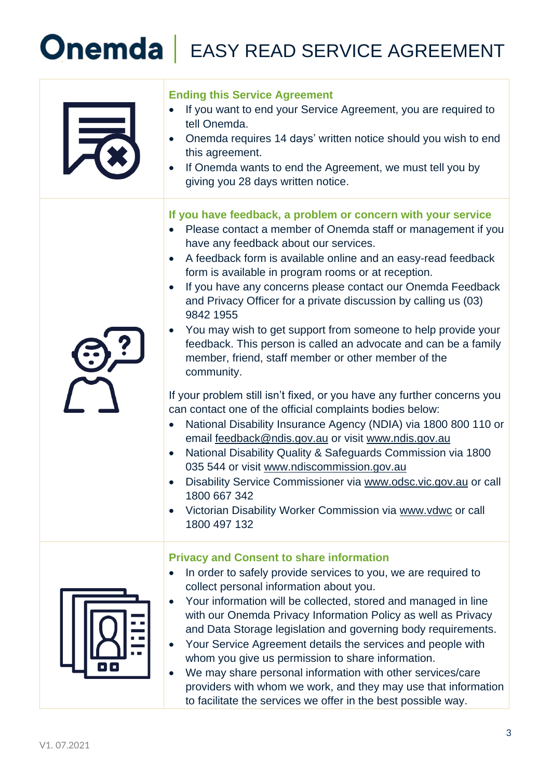| $\overline{=}$ | <b>Ending this Service Agreement</b><br>If you want to end your Service Agreement, you are required to<br>$\bullet$<br>tell Onemda.<br>Onemda requires 14 days' written notice should you wish to end<br>this agreement.<br>If Onemda wants to end the Agreement, we must tell you by<br>giving you 28 days written notice.                                                                                                                                                                                                                                                                                                                                                                                                                                                                                                                                                                                                                                                                                                                                                                                                                                                                                         |
|----------------|---------------------------------------------------------------------------------------------------------------------------------------------------------------------------------------------------------------------------------------------------------------------------------------------------------------------------------------------------------------------------------------------------------------------------------------------------------------------------------------------------------------------------------------------------------------------------------------------------------------------------------------------------------------------------------------------------------------------------------------------------------------------------------------------------------------------------------------------------------------------------------------------------------------------------------------------------------------------------------------------------------------------------------------------------------------------------------------------------------------------------------------------------------------------------------------------------------------------|
|                | If you have feedback, a problem or concern with your service<br>Please contact a member of Onemda staff or management if you<br>have any feedback about our services.<br>A feedback form is available online and an easy-read feedback<br>form is available in program rooms or at reception.<br>If you have any concerns please contact our Onemda Feedback<br>and Privacy Officer for a private discussion by calling us (03)<br>9842 1955<br>You may wish to get support from someone to help provide your<br>feedback. This person is called an advocate and can be a family<br>member, friend, staff member or other member of the<br>community.<br>If your problem still isn't fixed, or you have any further concerns you<br>can contact one of the official complaints bodies below:<br>National Disability Insurance Agency (NDIA) via 1800 800 110 or<br>email feedback@ndis.gov.au or visit www.ndis.gov.au<br>National Disability Quality & Safeguards Commission via 1800<br>$\bullet$<br>035 544 or visit www.ndiscommission.gov.au<br>Disability Service Commissioner via www.odsc.vic.gov.au or call<br>1800 667 342<br>Victorian Disability Worker Commission via www.vdwc or call<br>1800 497 132 |
|                | <b>Privacy and Consent to share information</b><br>In order to safely provide services to you, we are required to<br>collect personal information about you.<br>Your information will be collected, stored and managed in line<br>with our Onemda Privacy Information Policy as well as Privacy<br>and Data Storage legislation and governing body requirements.<br>Your Service Agreement details the services and people with<br>whom you give us permission to share information.<br>We may share personal information with other services/care<br>providers with whom we work, and they may use that information<br>to facilitate the services we offer in the best possible way.                                                                                                                                                                                                                                                                                                                                                                                                                                                                                                                               |